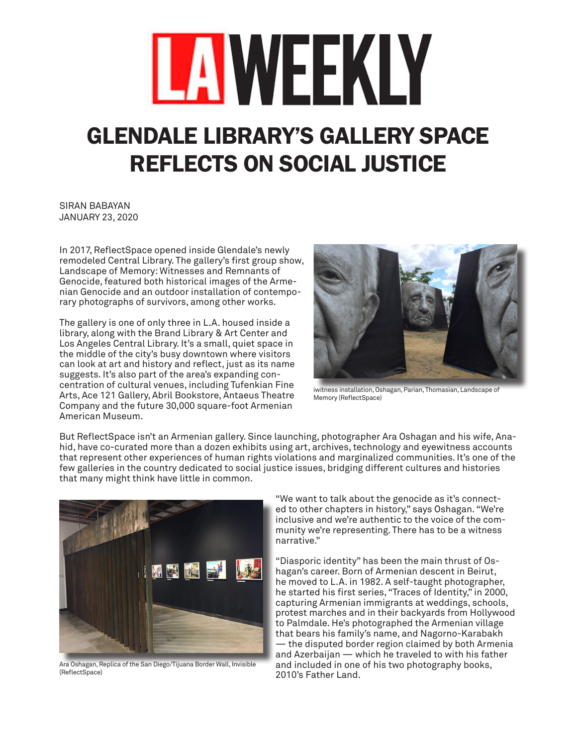## LAWEEKLY

## GLENDALE LIBRARY'S GALLERY SPACE REFLECTS ON SOCIAL JUSTICE

SIRAN BABAYAN JANUARY 23, 2020

In 2017, ReflectSpace opened inside Glendale's newly remodeled Central Library. The gallery's first group show, Landscape of Memory: Witnesses and Remnants of Genocide, featured both historical images of the Armenian Genocide and an outdoor installation of contemporary photographs of survivors, among other works.

The gallery is one of only three in L.A. housed inside a library, along with the Brand Library & Art Center and Los Angeles Central Library. It's a small, quiet space in the middle of the city's busy downtown where visitors can look at art and history and reflect, just as its name suggests. It's also part of the area's expanding concentration of cultural venues, including Tufenkian Fine Arts, Ace 121 Gallery, Abril Bookstore, Antaeus Theatre Company and the future 30,000 square-foot Armenian American Museum.



iwitness installation, Oshagan, Parian, Thomasian, Landscape of Memory (ReflectSpace)

But ReflectSpace isn't an Armenian gallery. Since launching, photographer Ara Oshagan and his wife, Anahid, have co-curated more than a dozen exhibits using art, archives, technology and eyewitness accounts that represent other experiences of human rights violations and marginalized communities. It's one of the few galleries in the country dedicated to social justice issues, bridging different cultures and histories that many might think have little in common.



Ara Oshagan, Replica of the San Diego/Tijuana Border Wall, Invisible (ReflectSpace)

"We want to talk about the genocide as it's connected to other chapters in history," says Oshagan. "We're inclusive and we're authentic to the voice of the community we're representing. There has to be a witness narrative."

"Diasporic identity" has been the main thrust of Oshagan's career. Born of Armenian descent in Beirut, he moved to L.A. in 1982. A self-taught photographer, he started his first series, "Traces of Identity," in 2000, capturing Armenian immigrants at weddings, schools, protest marches and in their backyards from Hollywood to Palmdale. He's photographed the Armenian village that bears his family's name, and Nagorno-Karabakh

— the disputed border region claimed by both Armenia and Azerbaijan — which he traveled to with his father and included in one of his two photography books, 2010's Father Land.